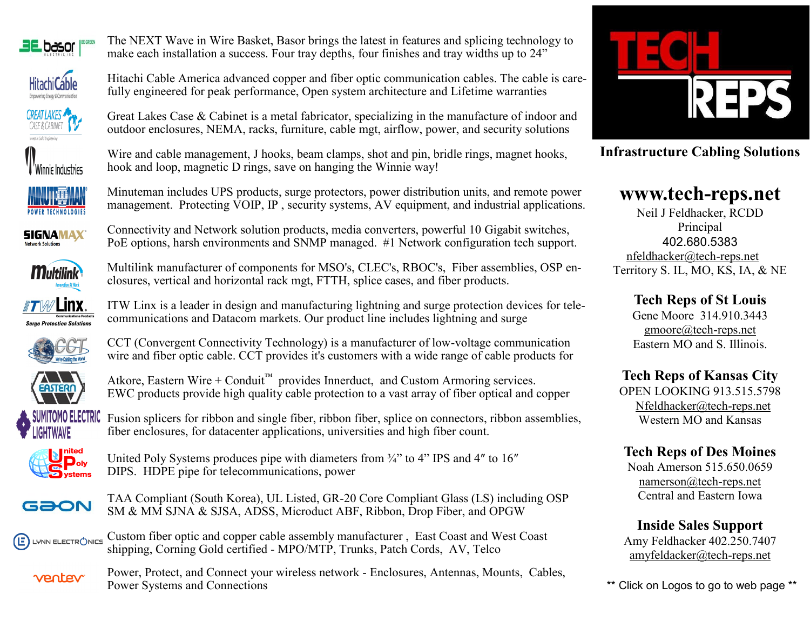









**SIGNAMAX** 



closures, vertical and horizontal rack mgt, FTTH, splice cases, and fiber products. Linx. ITW Linx is a leader in design and manufacturing lightning and surge protection devices for telecommunications and Datacom markets. Our product line includes lightning and surge



e Protection Solutions





Atkore, Eastern Wire + Conduit<sup>™</sup> provides Innerduct, and Custom Armoring services. EWC products provide high quality cable protection to a vast array of fiber optical and copper

The NEXT Wave in Wire Basket, Basor brings the latest in features and splicing technology to make each installation a success. Four tray depths, four finishes and tray widths up to 24"

Great Lakes Case & Cabinet is a metal fabricator, specializing in the manufacture of indoor and outdoor enclosures, NEMA, racks, furniture, cable mgt, airflow, power, and security solutions

Wire and cable management, J hooks, beam clamps, shot and pin, bridle rings, magnet hooks,

Minuteman includes UPS products, surge protectors, power distribution units, and remote power management. Protecting VOIP, IP, security systems, AV equipment, and industrial applications.

Connectivity and Network solution products, media converters, powerful 10 Gigabit switches, PoE options, harsh environments and SNMP managed. #1 Network configuration tech support.

Multilink manufacturer of components for MSO's, CLEC's, RBOC's, Fiber assemblies, OSP en-

hook and loop, magnetic D rings, save on hanging the Winnie way!

fully engineered for peak performance, Open system architecture and Lifetime warranties

TOMO ELECTRIC Fusion splicers for ribbon and single fiber, ribbon fiber, splice on connectors, ribbon assemblies, fiber enclosures, for datacenter applications, universities and high fiber count.



United Poly Systems produces pipe with diameters from  $\frac{3}{4}$  to 4" IPS and 4" to 16" DIPS. HDPE pipe for telecommunications, power



TAA Compliant (South Korea), UL Listed, GR-20 Core Compliant Glass (LS) including OSP SM & MM SJNA & SJSA, ADSS, Microduct ABF, Ribbon, Drop Fiber, and OPGW

Custom fiber optic and copper cable assembly manufacturer , East Coast and West Coast Œ LYNN ELECTR(<sup>'</sup>)NICS shipping, Corning Gold certified - MPO/MTP, Trunks, Patch Cords, AV, Telco

Power, Protect, and Connect your wireless network - Enclosures, Antennas, Mounts, Cables, ventev Power Systems and Connections



**Infrastructure Cabling Solutions** 

# **[www.tech](http://www.tech-reps.net)-reps.net**

Neil J Feldhacker, RCDD Principal 402.680.5383 [nfeldhacker@tech](mailto:nfeldhacker@tech-reps.net)-reps.net Territory S. IL, MO, KS, IA, & NE

> **Tech Reps of St Louis**  Gene Moore 314.910.3443 [gmoore@tech](mailto:gmoore@tech-reps.net)-reps.net

Eastern MO and S. Illinois.

## **Tech Reps of Kansas City**

OPEN LOOKING 913.515.5798 Nfeldhacker@tech-reps.net Western MO and Kansas

## **Tech Reps of Des Moines**

Noah Amerson 515.650.0659 [namerson@tech](mailto:namerson@tech-reps.net)-reps.net Central and Eastern Iowa

**Inside Sales Support** Amy Feldhacker 402.250.7407 amyfeldacker@tech-reps.net

\*\* Click on Logos to go to web page \*\*